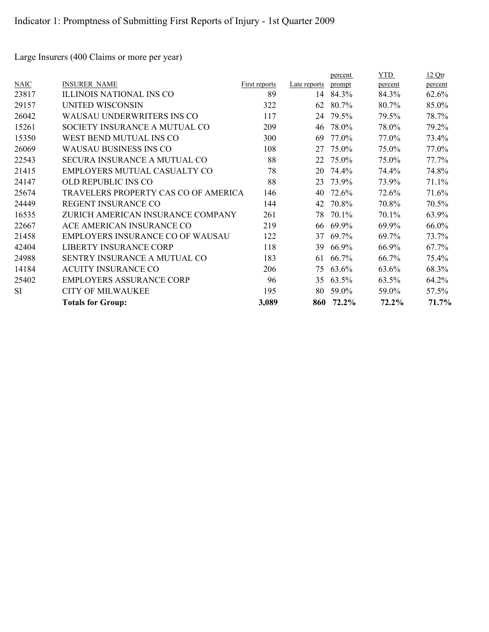Large Insurers (400 Claims or more per year)

|           | <b>Totals for Group:</b>                | 3,089         | 860          | 72.2%   | 72.2%      | 71.7%   |
|-----------|-----------------------------------------|---------------|--------------|---------|------------|---------|
| <b>SI</b> | <b>CITY OF MILWAUKEE</b>                | 195           | 80           | 59.0%   | 59.0%      | 57.5%   |
| 25402     | <b>EMPLOYERS ASSURANCE CORP</b>         | 96            | 35           | 63.5%   | 63.5%      | 64.2%   |
| 14184     | <b>ACUITY INSURANCE CO</b>              | 206           | 75           | 63.6%   | 63.6%      | 68.3%   |
| 24988     | SENTRY INSURANCE A MUTUAL CO            | 183           | 61           | 66.7%   | 66.7%      | 75.4%   |
| 42404     | LIBERTY INSURANCE CORP                  | 118           | 39           | 66.9%   | 66.9%      | 67.7%   |
| 21458     | <b>EMPLOYERS INSURANCE CO OF WAUSAU</b> | 122           | 37           | 69.7%   | 69.7%      | 73.7%   |
| 22667     | ACE AMERICAN INSURANCE CO               | 219           | 66           | 69.9%   | 69.9%      | 66.0%   |
| 16535     | ZURICH AMERICAN INSURANCE COMPANY       | 261           | 78           | 70.1%   | 70.1%      | 63.9%   |
| 24449     | <b>REGENT INSURANCE CO</b>              | 144           | 42           | 70.8%   | 70.8%      | 70.5%   |
| 25674     | TRAVELERS PROPERTY CAS CO OF AMERICA    | 146           | 40           | 72.6%   | 72.6%      | 71.6%   |
| 24147     | OLD REPUBLIC INS CO                     | 88            | 23           | 73.9%   | 73.9%      | 71.1%   |
| 21415     | EMPLOYERS MUTUAL CASUALTY CO            | 78            | 20           | 74.4%   | 74.4%      | 74.8%   |
| 22543     | <b>SECURA INSURANCE A MUTUAL CO</b>     | 88            | 22           | 75.0%   | 75.0%      | 77.7%   |
| 26069     | <b>WAUSAU BUSINESS INS CO</b>           | 108           | 27           | 75.0%   | 75.0%      | 77.0%   |
| 15350     | WEST BEND MUTUAL INS CO                 | 300           | 69           | 77.0%   | 77.0%      | 73.4%   |
| 15261     | SOCIETY INSURANCE A MUTUAL CO           | 209           | 46           | 78.0%   | 78.0%      | 79.2%   |
| 26042     | <b>WAUSAU UNDERWRITERS INS CO</b>       | 117           | 24           | 79.5%   | 79.5%      | 78.7%   |
| 29157     | <b>UNITED WISCONSIN</b>                 | 322           | 62           | 80.7%   | 80.7%      | 85.0%   |
| 23817     | <b>ILLINOIS NATIONAL INS CO</b>         | 89            | 14           | 84.3%   | 84.3%      | 62.6%   |
| NAIC      | <b>INSURER NAME</b>                     | First reports | Late reports | prompt  | percent    | percent |
|           |                                         |               |              | percent | <b>YTD</b> | 12Qtr   |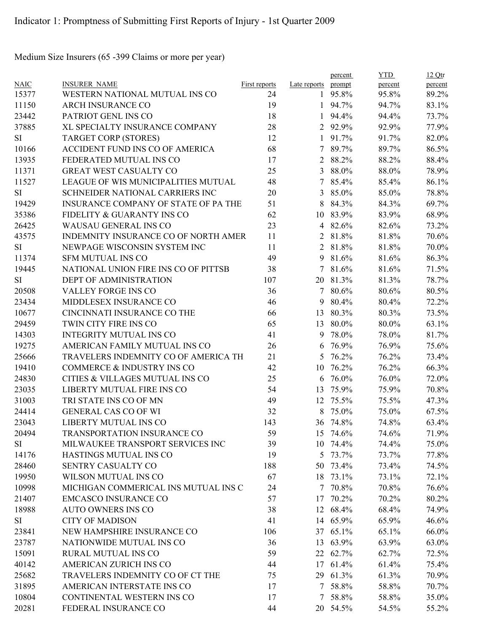Medium Size Insurers (65 -399 Claims or more per year)

|             |                                      |                      |                | percent         | <b>YTD</b> | 12Qtr   |
|-------------|--------------------------------------|----------------------|----------------|-----------------|------------|---------|
| <b>NAIC</b> | <b>INSURER NAME</b>                  | <b>First reports</b> | Late reports   | prompt          | percent    | percent |
| 15377       | WESTERN NATIONAL MUTUAL INS CO       | 24                   |                | 1 95.8%         | 95.8%      | 89.2%   |
| 11150       | <b>ARCH INSURANCE CO</b>             | 19                   |                | $1\quad 94.7\%$ | 94.7%      | 83.1%   |
| 23442       | PATRIOT GENL INS CO                  | 18                   | $\mathbf{1}$   | 94.4%           | 94.4%      | 73.7%   |
| 37885       | XL SPECIALTY INSURANCE COMPANY       | 28                   |                | 2 92.9%         | 92.9%      | 77.9%   |
| SI          | <b>TARGET CORP (STORES)</b>          | 12                   |                | 1 91.7%         | 91.7%      | 82.0%   |
| 10166       | ACCIDENT FUND INS CO OF AMERICA      | 68                   | $7^{\circ}$    | 89.7%           | 89.7%      | 86.5%   |
| 13935       | FEDERATED MUTUAL INS CO              | 17                   | 2              | 88.2%           | 88.2%      | 88.4%   |
| 11371       | GREAT WEST CASUALTY CO               | 25                   | $\overline{3}$ | 88.0%           | 88.0%      | 78.9%   |
| 11527       | LEAGUE OF WIS MUNICIPALITIES MUTUAL  | 48                   | $7^{\circ}$    | 85.4%           | 85.4%      | 86.1%   |
| SI          | SCHNEIDER NATIONAL CARRIERS INC      | 20                   | 3              | 85.0%           | 85.0%      | 78.8%   |
| 19429       | INSURANCE COMPANY OF STATE OF PA THE | 51                   | 8              | 84.3%           | 84.3%      | 69.7%   |
| 35386       | FIDELITY & GUARANTY INS CO           | 62                   |                | 10 83.9%        | 83.9%      | 68.9%   |
| 26425       | WAUSAU GENERAL INS CO                | 23                   | $\overline{4}$ | 82.6%           | 82.6%      | 73.2%   |
| 43575       | INDEMNITY INSURANCE CO OF NORTH AMER | 11                   | 2              | 81.8%           | 81.8%      | 70.6%   |
| <b>SI</b>   | NEWPAGE WISCONSIN SYSTEM INC         | 11                   | $\overline{2}$ | 81.8%           | 81.8%      | 70.0%   |
| 11374       | <b>SFM MUTUAL INS CO</b>             | 49                   | 9              | 81.6%           | 81.6%      | 86.3%   |
| 19445       | NATIONAL UNION FIRE INS CO OF PITTSB | 38                   | $\tau$         | 81.6%           | 81.6%      | 71.5%   |
| <b>SI</b>   | <b>DEPT OF ADMINISTRATION</b>        | 107                  |                | 20 81.3%        | 81.3%      | 78.7%   |
| 20508       | VALLEY FORGE INS CO                  | 36                   | 7 <sup>1</sup> | 80.6%           | 80.6%      | 80.5%   |
| 23434       | MIDDLESEX INSURANCE CO               | 46                   | 9              | 80.4%           | 80.4%      | 72.2%   |
| 10677       | CINCINNATI INSURANCE CO THE          | 66                   | 13             | 80.3%           | 80.3%      | 73.5%   |
| 29459       | TWIN CITY FIRE INS CO                | 65                   | 13             | 80.0%           | 80.0%      | 63.1%   |
| 14303       | <b>INTEGRITY MUTUAL INS CO</b>       | 41                   | 9              | 78.0%           | 78.0%      | 81.7%   |
| 19275       | AMERICAN FAMILY MUTUAL INS CO        | 26                   | 6              | 76.9%           | 76.9%      | 75.6%   |
| 25666       | TRAVELERS INDEMNITY CO OF AMERICA TH | 21                   | 5              | 76.2%           | 76.2%      | 73.4%   |
| 19410       | COMMERCE & INDUSTRY INS CO           | 42                   | 10             | 76.2%           | 76.2%      | 66.3%   |
| 24830       | CITIES & VILLAGES MUTUAL INS CO      | 25                   | 6              | 76.0%           | 76.0%      | 72.0%   |
| 23035       | LIBERTY MUTUAL FIRE INS CO           | 54                   | 13             | 75.9%           | 75.9%      | 70.8%   |
| 31003       | TRI STATE INS CO OF MN               | 49                   | 12             | 75.5%           | 75.5%      | 47.3%   |
| 24414       | <b>GENERAL CAS CO OF WI</b>          | 32                   | 8              | 75.0%           | 75.0%      | 67.5%   |
| 23043       | LIBERTY MUTUAL INS CO                | 143                  |                | 36 74.8%        | 74.8%      | 63.4%   |
| 20494       | TRANSPORTATION INSURANCE CO          | 59                   |                | 15 74.6%        | 74.6%      | 71.9%   |
| SI          | MILWAUKEE TRANSPORT SERVICES INC     | 39                   |                | 10 74.4%        | 74.4%      | 75.0%   |
| 14176       | HASTINGS MUTUAL INS CO               | 19                   |                | 5 73.7%         | 73.7%      | 77.8%   |
| 28460       | SENTRY CASUALTY CO                   | 188                  |                | 50 73.4%        | 73.4%      | 74.5%   |
| 19950       | WILSON MUTUAL INS CO                 | 67                   |                | 18 73.1%        | 73.1%      | 72.1%   |
| 10998       | MICHIGAN COMMERICAL INS MUTUAL INS C | 24                   |                | 7 70.8%         | 70.8%      | 76.6%   |
| 21407       | <b>EMCASCO INSURANCE CO</b>          | 57                   | 17             | 70.2%           | 70.2%      | 80.2%   |
| 18988       | <b>AUTO OWNERS INS CO</b>            | 38                   |                | 12 68.4%        | 68.4%      | 74.9%   |
| SI          | <b>CITY OF MADISON</b>               | 41                   |                | 14 65.9%        | 65.9%      | 46.6%   |
| 23841       | NEW HAMPSHIRE INSURANCE CO           | 106                  |                | 37 65.1%        | 65.1%      | 66.0%   |
| 23787       | NATIONWIDE MUTUAL INS CO             | 36                   |                | 13 63.9%        | 63.9%      | 63.0%   |
| 15091       | RURAL MUTUAL INS CO                  | 59                   |                | 22 62.7%        | 62.7%      | 72.5%   |
| 40142       | AMERICAN ZURICH INS CO               | 44                   |                | 17 61.4%        | 61.4%      | 75.4%   |
| 25682       | TRAVELERS INDEMNITY CO OF CT THE     | 75                   | 29             | 61.3%           | 61.3%      | 70.9%   |
| 31895       | AMERICAN INTERSTATE INS CO           | 17                   |                | 7 58.8%         | 58.8%      | 70.7%   |
| 10804       | CONTINENTAL WESTERN INS CO           | 17                   |                | 7 58.8%         | 58.8%      | 35.0%   |
| 20281       | FEDERAL INSURANCE CO                 | 44                   |                | 20 54.5%        | 54.5%      | 55.2%   |
|             |                                      |                      |                |                 |            |         |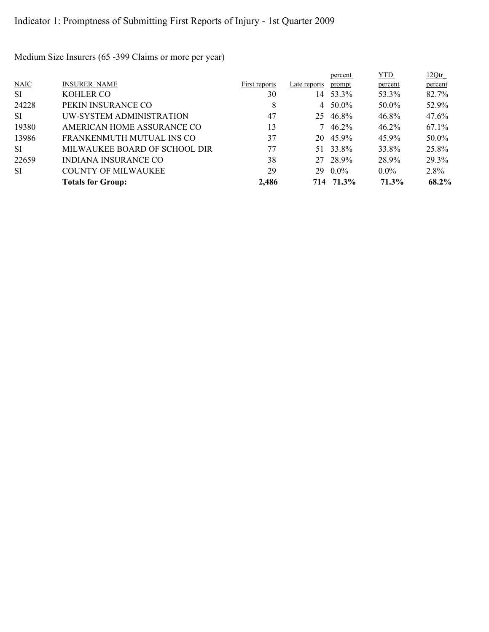Medium Size Insurers (65 -399 Claims or more per year)

|           |                               |               |              | percent     | YTD.     | 12Qtr   |
|-----------|-------------------------------|---------------|--------------|-------------|----------|---------|
| NAIC      | <b>INSURER NAME</b>           | First reports | Late reports | prompt      | percent  | percent |
| <b>SI</b> | <b>KOHLER CO</b>              | 30            | 14           | 53.3%       | 53.3%    | 82.7%   |
| 24228     | PEKIN INSURANCE CO            | 8             | 4            | 50.0%       | 50.0%    | 52.9%   |
| SI.       | UW-SYSTEM ADMINISTRATION      | 47            | 25           | 46.8%       | 46.8%    | 47.6%   |
| 19380     | AMERICAN HOME ASSURANCE CO    | 13            |              | $7\;46.2\%$ | $46.2\%$ | 67.1%   |
| 13986     | FRANKENMUTH MUTUAL INS CO     | 37            |              | 20 45.9%    | 45.9%    | 50.0%   |
| SI.       | MILWAUKEE BOARD OF SCHOOL DIR | 77            | 51           | 33.8%       | 33.8%    | 25.8%   |
| 22659     | INDIANA INSURANCE CO          | 38            |              | 27 28.9%    | 28.9%    | 29.3%   |
| SI.       | <b>COUNTY OF MILWAUKEE</b>    | 29            | 29           | $0.0\%$     | $0.0\%$  | 2.8%    |
|           | <b>Totals for Group:</b>      | 2,486         |              | 714 71.3%   | 71.3%    | 68.2%   |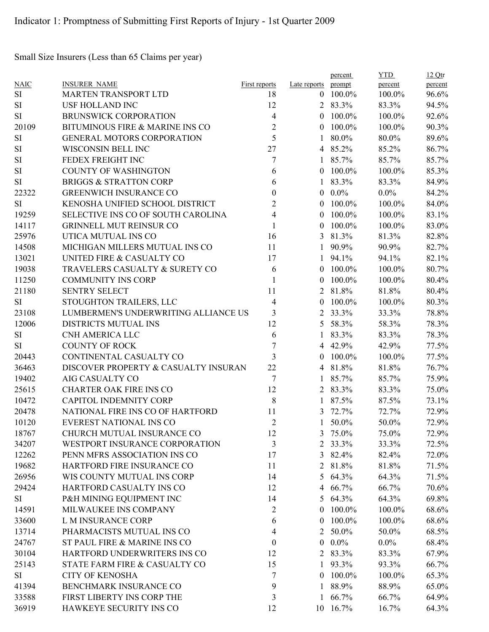Small Size Insurers (Less than 65 Claims per year)

|             |                                      |                      |                     | percent    | <b>YTD</b> | 12Qtr   |
|-------------|--------------------------------------|----------------------|---------------------|------------|------------|---------|
| <b>NAIC</b> | <b>INSURER NAME</b>                  | <b>First reports</b> | Late reports prompt |            | percent    | percent |
| SI          | MARTEN TRANSPORT LTD                 | 18                   |                     | $0$ 100.0% | 100.0%     | 96.6%   |
| SI          | <b>USF HOLLAND INC</b>               | 12                   |                     | 2 83.3%    | 83.3%      | 94.5%   |
| SI          | <b>BRUNSWICK CORPORATION</b>         | $\overline{4}$       | $\theta$            | 100.0%     | 100.0%     | 92.6%   |
| 20109       | BITUMINOUS FIRE & MARINE INS CO      | $\overline{2}$       | $\overline{0}$      | 100.0%     | 100.0%     | 90.3%   |
| $\rm SI$    | GENERAL MOTORS CORPORATION           | 5                    | 1                   | 80.0%      | 80.0%      | 89.6%   |
| $\rm SI$    | WISCONSIN BELL INC                   | 27                   |                     | 4 85.2%    | 85.2%      | 86.7%   |
| $\rm SI$    | FEDEX FREIGHT INC                    | 7                    | 1                   | 85.7%      | 85.7%      | 85.7%   |
| $\rm SI$    | <b>COUNTY OF WASHINGTON</b>          | 6                    | $\theta$            | 100.0%     | 100.0%     | 85.3%   |
| SI          | <b>BRIGGS &amp; STRATTON CORP</b>    | 6                    | 1                   | 83.3%      | 83.3%      | 84.9%   |
| 22322       | <b>GREENWICH INSURANCE CO</b>        | $\overline{0}$       | $\left( 0 \right)$  | $0.0\%$    | $0.0\%$    | 84.2%   |
| SI          | KENOSHA UNIFIED SCHOOL DISTRICT      | $\overline{c}$       | $\left( 0 \right)$  | 100.0%     | 100.0%     | 84.0%   |
| 19259       | SELECTIVE INS CO OF SOUTH CAROLINA   | $\overline{4}$       | $\left( 0 \right)$  | 100.0%     | 100.0%     | 83.1%   |
| 14117       | <b>GRINNELL MUT REINSUR CO</b>       | 1                    | $\theta$            | 100.0%     | 100.0%     | 83.0%   |
| 25976       | UTICA MUTUAL INS CO                  | 16                   | 3                   | 81.3%      | 81.3%      | 82.8%   |
| 14508       | MICHIGAN MILLERS MUTUAL INS CO       | 11                   | 1                   | 90.9%      | 90.9%      | 82.7%   |
| 13021       | UNITED FIRE & CASUALTY CO            | 17                   | 1                   | 94.1%      | 94.1%      | 82.1%   |
| 19038       | TRAVELERS CASUALTY & SURETY CO       | 6                    | $\theta$            | 100.0%     | 100.0%     | 80.7%   |
| 11250       | <b>COMMUNITY INS CORP</b>            | 1                    | $\overline{0}$      | 100.0%     | 100.0%     | 80.4%   |
| 21180       | <b>SENTRY SELECT</b>                 | 11                   | $\overline{2}$      | 81.8%      | 81.8%      | 80.4%   |
| <b>SI</b>   | STOUGHTON TRAILERS, LLC              | 4                    | $\theta$            | 100.0%     | 100.0%     | 80.3%   |
| 23108       | LUMBERMEN'S UNDERWRITING ALLIANCE US | 3                    | 2                   | 33.3%      | 33.3%      | 78.8%   |
| 12006       | DISTRICTS MUTUAL INS                 | 12                   | 5                   | 58.3%      | 58.3%      | 78.3%   |
| <b>SI</b>   | CNH AMERICA LLC                      | 6                    | 1                   | 83.3%      | 83.3%      | 78.3%   |
| SI          | <b>COUNTY OF ROCK</b>                | 7                    | 4                   | 42.9%      | 42.9%      | 77.5%   |
| 20443       | CONTINENTAL CASUALTY CO              | 3                    | $\left( 0 \right)$  | 100.0%     | 100.0%     | 77.5%   |
| 36463       | DISCOVER PROPERTY & CASUALTY INSURAN | 22                   |                     | 4 81.8%    | 81.8%      | 76.7%   |
| 19402       | AIG CASUALTY CO                      | 7                    | 1                   | 85.7%      | 85.7%      | 75.9%   |
| 25615       | <b>CHARTER OAK FIRE INS CO</b>       | 12                   | 2                   | 83.3%      | 83.3%      | 75.0%   |
| 10472       | CAPITOL INDEMNITY CORP               | 8                    | 1                   | 87.5%      | 87.5%      | 73.1%   |
| 20478       | NATIONAL FIRE INS CO OF HARTFORD     | 11                   | 3                   | 72.7%      | 72.7%      | 72.9%   |
| 10120       | EVEREST NATIONAL INS CO              | $\overline{2}$       | 1                   | 50.0%      | 50.0%      | 72.9%   |
| 18767       | CHURCH MUTUAL INSURANCE CO           | 12                   | 3                   | 75.0%      | 75.0%      | 72.9%   |
| 34207       | WESTPORT INSURANCE CORPORATION       | 3                    | 2                   | 33.3%      | 33.3%      | 72.5%   |
|             | PENN MFRS ASSOCIATION INS CO         |                      |                     |            |            |         |
| 12262       |                                      | 17                   |                     | 3 82.4%    | 82.4%      | 72.0%   |
| 19682       | HARTFORD FIRE INSURANCE CO           | 11                   | $\overline{2}$      | 81.8%      | 81.8%      | 71.5%   |
| 26956       | WIS COUNTY MUTUAL INS CORP           | 14                   | 5                   | 64.3%      | 64.3%      | 71.5%   |
| 29424       | HARTFORD CASUALTY INS CO             | 12                   |                     | 4 66.7%    | 66.7%      | 70.6%   |
| SI          | P&H MINING EQUIPMENT INC             | 14                   | 5                   | 64.3%      | 64.3%      | 69.8%   |
| 14591       | MILWAUKEE INS COMPANY                | 2                    | $\theta$            | 100.0%     | 100.0%     | 68.6%   |
| 33600       | L M INSURANCE CORP                   | 6                    | $\overline{0}$      | 100.0%     | 100.0%     | 68.6%   |
| 13714       | PHARMACISTS MUTUAL INS CO            | 4                    | $\overline{2}$      | 50.0%      | 50.0%      | 68.5%   |
| 24767       | ST PAUL FIRE & MARINE INS CO         | $\boldsymbol{0}$     | $\overline{0}$      | $0.0\%$    | $0.0\%$    | 68.4%   |
| 30104       | HARTFORD UNDERWRITERS INS CO         | 12                   |                     | 2 83.3%    | 83.3%      | 67.9%   |
| 25143       | STATE FARM FIRE & CASUALTY CO        | 15                   | 1                   | 93.3%      | 93.3%      | 66.7%   |
| SI          | <b>CITY OF KENOSHA</b>               | 7                    | $\theta$            | 100.0%     | 100.0%     | 65.3%   |
| 41394       | BENCHMARK INSURANCE CO               | 9                    | 1                   | 88.9%      | 88.9%      | 65.0%   |
| 33588       | FIRST LIBERTY INS CORP THE           | 3                    | 1                   | 66.7%      | 66.7%      | 64.9%   |
| 36919       | HAWKEYE SECURITY INS CO              | 12                   |                     | 10 16.7%   | 16.7%      | 64.3%   |